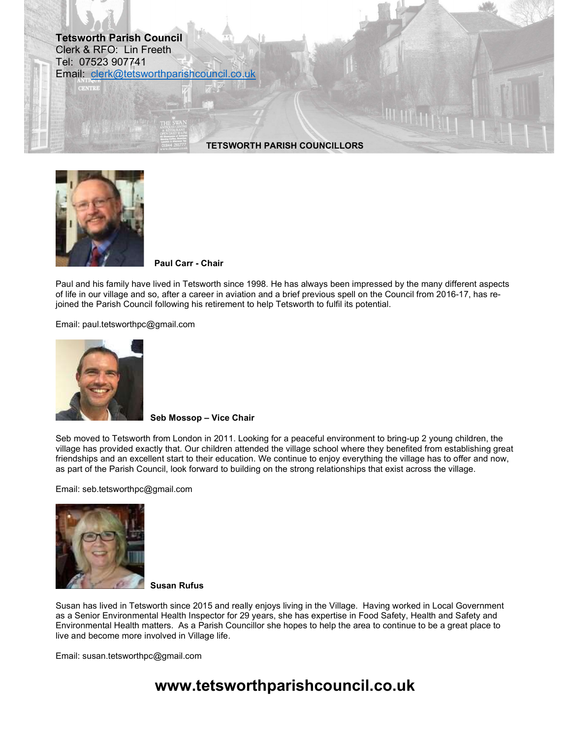### Tetsworth Parish Council Clerk & RFO: Lin Freeth Tel: 07523 907741 Email: clerk@tetsworthparishcouncil.co.uk

TETSWORTH PARISH COUNCILLORS



Paul Carr - Chair

Paul and his family have lived in Tetsworth since 1998. He has always been impressed by the many different aspects of life in our village and so, after a career in aviation and a brief previous spell on the Council from 2016-17, has rejoined the Parish Council following his retirement to help Tetsworth to fulfil its potential.

Email: paul.tetsworthpc@gmail.com



Seb Mossop – Vice Chair

Seb moved to Tetsworth from London in 2011. Looking for a peaceful environment to bring-up 2 young children, the village has provided exactly that. Our children attended the village school where they benefited from establishing great friendships and an excellent start to their education. We continue to enjoy everything the village has to offer and now, as part of the Parish Council, look forward to building on the strong relationships that exist across the village.

Email: seb.tetsworthpc@gmail.com



Susan Rufus

Susan has lived in Tetsworth since 2015 and really enjoys living in the Village. Having worked in Local Government as a Senior Environmental Health Inspector for 29 years, she has expertise in Food Safety, Health and Safety and Environmental Health matters. As a Parish Councillor she hopes to help the area to continue to be a great place to live and become more involved in Village life.

Email: susan.tetsworthpc@gmail.com

# www.tetsworthparishcouncil.co.uk